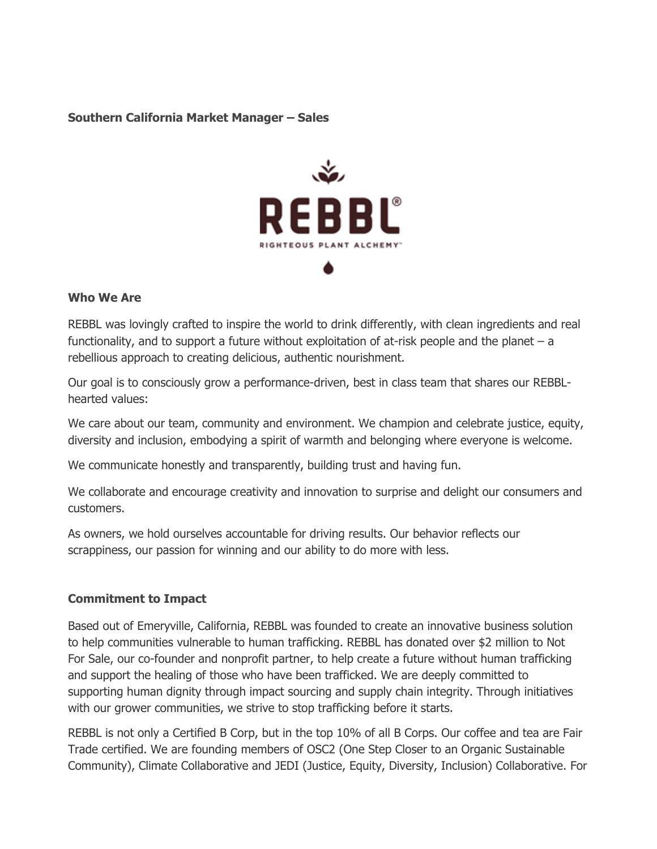#### **Southern California Market Manager – Sales**



#### **Who We Are**

REBBL was lovingly crafted to inspire the world to drink differently, with clean ingredients and real functionality, and to support a future without exploitation of at-risk people and the planet – a rebellious approach to creating delicious, authentic nourishment.

Our goal is to consciously grow a performance-driven, best in class team that shares our REBBLhearted values:

We care about our team, community and environment. We champion and celebrate justice, equity, diversity and inclusion, embodying a spirit of warmth and belonging where everyone is welcome.

We communicate honestly and transparently, building trust and having fun.

We collaborate and encourage creativity and innovation to surprise and delight our consumers and customers.

As owners, we hold ourselves accountable for driving results. Our behavior reflects our scrappiness, our passion for winning and our ability to do more with less.

### **Commitment to Impact**

Based out of Emeryville, California, REBBL was founded to create an innovative business solution to help communities vulnerable to human trafficking. REBBL has donated over \$2 million to Not For Sale, our co-founder and nonprofit partner, to help create a future without human trafficking and support the healing of those who have been trafficked. We are deeply committed to supporting human dignity through impact sourcing and supply chain integrity. Through initiatives with our grower communities, we strive to stop trafficking before it starts.

REBBL is not only a Certified B Corp, but in the top 10% of all B Corps. Our coffee and tea are Fair Trade certified. We are founding members of OSC2 (One Step Closer to an Organic Sustainable Community), Climate Collaborative and JEDI (Justice, Equity, Diversity, Inclusion) Collaborative. For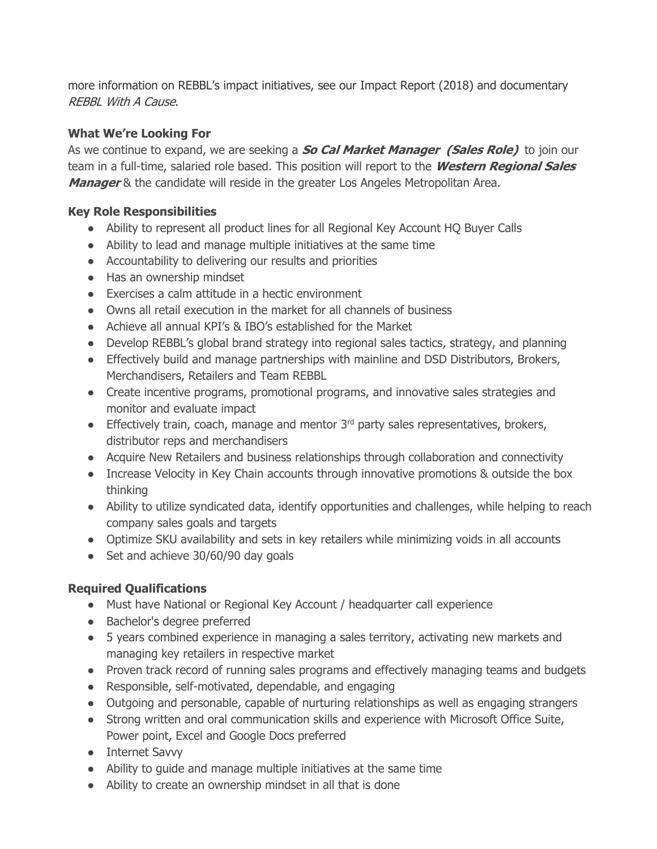more information on REBBL's impact initiatives, see our Impact Report (2018) and documentary REBBL With A Cause.

## **What We're Looking For**

As we continue to expand, we are seeking a **So Cal Market Manager (Sales Role)** to join our team in a full-time, salaried role based. This position will report to the **Western Regional Sales Manager** & the candidate will reside in the greater Los Angeles Metropolitan Area.

### **Key Role Responsibilities**

- Ability to represent all product lines for all Regional Key Account HO Buyer Calls
- Ability to lead and manage multiple initiatives at the same time
- Accountability to delivering our results and priorities
- Has an ownership mindset
- Exercises a calm attitude in a hectic environment
- Owns all retail execution in the market for all channels of business
- Achieve all annual KPI's & IBO's established for the Market
- Develop REBBL's global brand strategy into regional sales tactics, strategy, and planning
- Effectively build and manage partnerships with mainline and DSD Distributors, Brokers, Merchandisers, Retailers and Team REBBL
- Create incentive programs, promotional programs, and innovative sales strategies and monitor and evaluate impact
- **•** Effectively train, coach, manage and mentor  $3^{rd}$  party sales representatives, brokers, distributor reps and merchandisers
- Acquire New Retailers and business relationships through collaboration and connectivity
- Increase Velocity in Key Chain accounts through innovative promotions & outside the box thinking
- Ability to utilize syndicated data, identify opportunities and challenges, while helping to reach company sales goals and targets
- Optimize SKU availability and sets in key retailers while minimizing voids in all accounts
- Set and achieve 30/60/90 day goals

# **Required Qualifications**

- Must have National or Regional Key Account / headquarter call experience
- Bachelor's degree preferred
- 5 years combined experience in managing a sales territory, activating new markets and managing key retailers in respective market
- Proven track record of running sales programs and effectively managing teams and budgets
- Responsible, self-motivated, dependable, and engaging
- Outgoing and personable, capable of nurturing relationships as well as engaging strangers
- Strong written and oral communication skills and experience with Microsoft Office Suite, Power point, Excel and Google Docs preferred
- Internet Savvy
- Ability to guide and manage multiple initiatives at the same time
- Ability to create an ownership mindset in all that is done